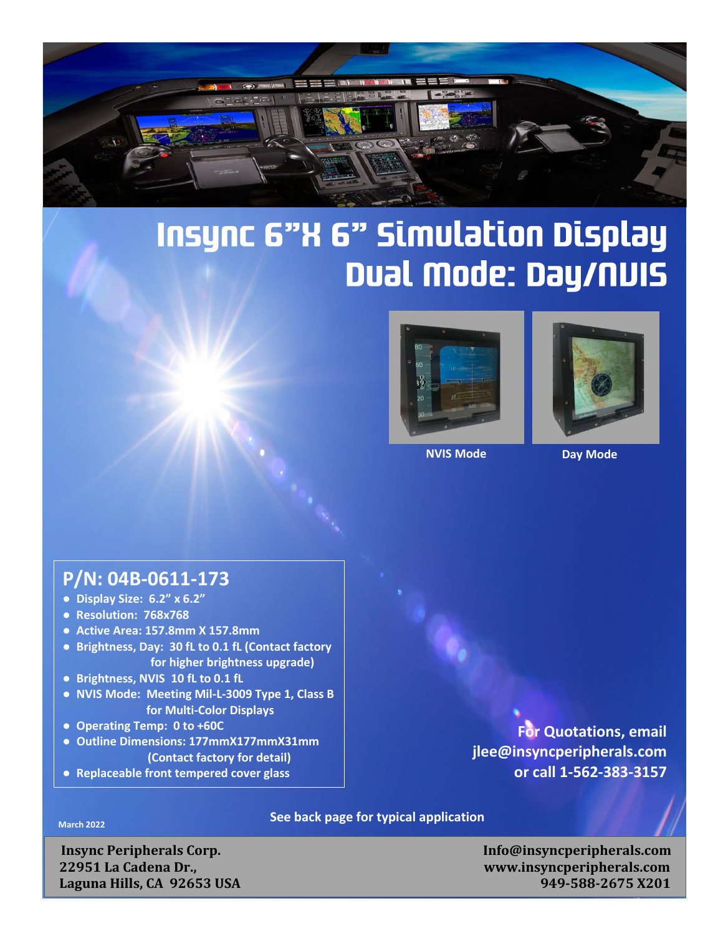

## **Insync 6"X 6" Simulation Display** Dual Mode: Day/NUIS



**NVIS Mode Day Mode**



## **P/N: 04B-0611-173**

- **Display Size: 6.2" x 6.2"**
- **Resolution: 768x768**
- **Active Area: 157.8mm X 157.8mm**
- **Brightness, Day: 30 fL to 0.1 fL (Contact factory for higher brightness upgrade)**
- **Brightness, NVIS 10 fL to 0.1 fL**
- **NVIS Mode: Meeting Mil-L-3009 Type 1, Class B for Multi-Color Displays**
- **Operating Temp: 0 to +60C**
- **Outline Dimensions: 177mmX177mmX31mm (Contact factory for detail)**
- **Replaceable front tempered cover glass**

**See back page for typical application March 2022**

 **Insync Peripherals Corp. Info@insyncperipherals.com**

**● Resolution: jjjjxvvvv**

 **22951 La Cadena Dr., www.insyncperipherals.com Laguna Hills, CA 92653 USA** 949-588-2675 X201

**For Quotations, email**

**or call 1-562-383-3157**

**[jlee@insyncperipherals.com](mailto:jlee@insyncperipherals.com)**